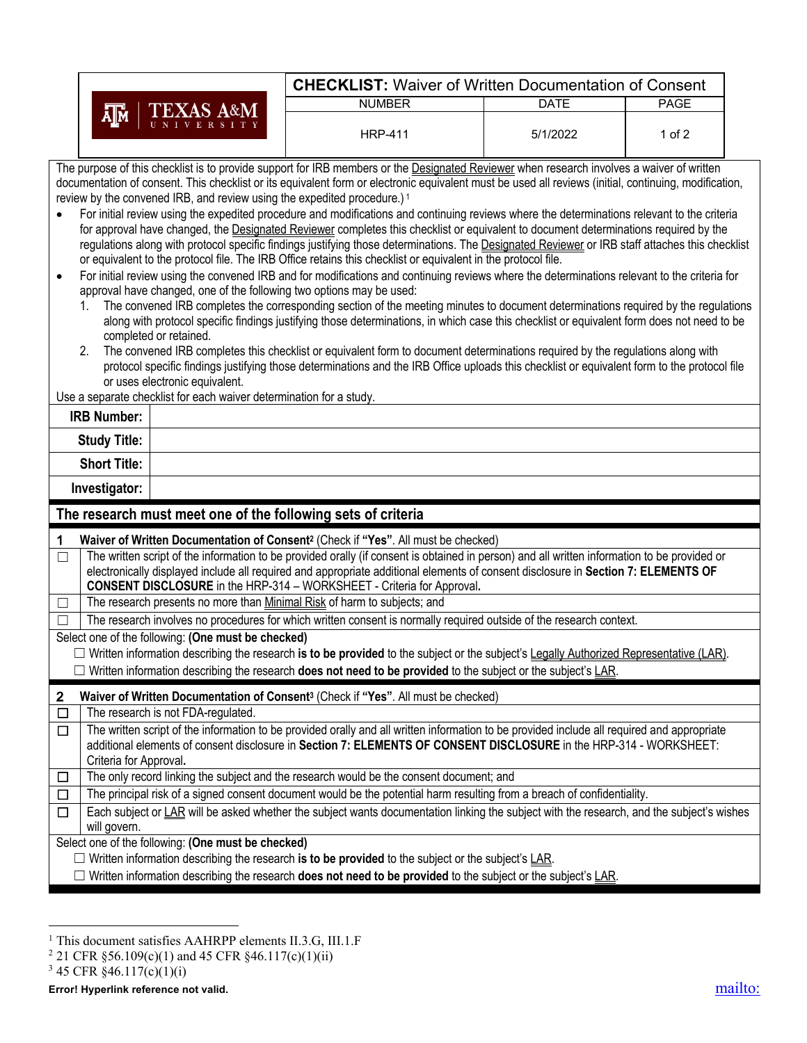| <b>CHECKLIST: Waiver of Written Documentation of Consent</b>                                                                                                                                                                                                                                                                                                                                                                                                                                                                                                                                                                                                                                                                                                                                                                                                                                                                                                                                                                                                                                                                                                                                                                                                                                                                                                                                                                                                                                                                                                                                                                                                                                                                                                                                                       |                                                                                                                                                                                                                                                                                                                                                                                                                                                                                                                                                                       |                                                                                                                                          |             |             |  |  |  |  |  |
|--------------------------------------------------------------------------------------------------------------------------------------------------------------------------------------------------------------------------------------------------------------------------------------------------------------------------------------------------------------------------------------------------------------------------------------------------------------------------------------------------------------------------------------------------------------------------------------------------------------------------------------------------------------------------------------------------------------------------------------------------------------------------------------------------------------------------------------------------------------------------------------------------------------------------------------------------------------------------------------------------------------------------------------------------------------------------------------------------------------------------------------------------------------------------------------------------------------------------------------------------------------------------------------------------------------------------------------------------------------------------------------------------------------------------------------------------------------------------------------------------------------------------------------------------------------------------------------------------------------------------------------------------------------------------------------------------------------------------------------------------------------------------------------------------------------------|-----------------------------------------------------------------------------------------------------------------------------------------------------------------------------------------------------------------------------------------------------------------------------------------------------------------------------------------------------------------------------------------------------------------------------------------------------------------------------------------------------------------------------------------------------------------------|------------------------------------------------------------------------------------------------------------------------------------------|-------------|-------------|--|--|--|--|--|
| <b>TEXAS A&amp;M</b><br>ᄴ                                                                                                                                                                                                                                                                                                                                                                                                                                                                                                                                                                                                                                                                                                                                                                                                                                                                                                                                                                                                                                                                                                                                                                                                                                                                                                                                                                                                                                                                                                                                                                                                                                                                                                                                                                                          |                                                                                                                                                                                                                                                                                                                                                                                                                                                                                                                                                                       | <b>NUMBER</b>                                                                                                                            | <b>DATE</b> | <b>PAGE</b> |  |  |  |  |  |
|                                                                                                                                                                                                                                                                                                                                                                                                                                                                                                                                                                                                                                                                                                                                                                                                                                                                                                                                                                                                                                                                                                                                                                                                                                                                                                                                                                                                                                                                                                                                                                                                                                                                                                                                                                                                                    |                                                                                                                                                                                                                                                                                                                                                                                                                                                                                                                                                                       | <b>HRP-411</b>                                                                                                                           | 5/1/2022    | 1 of $2$    |  |  |  |  |  |
| The purpose of this checklist is to provide support for IRB members or the Designated Reviewer when research involves a waiver of written<br>documentation of consent. This checklist or its equivalent form or electronic equivalent must be used all reviews (initial, continuing, modification,<br>review by the convened IRB, and review using the expedited procedure.) <sup>1</sup><br>For initial review using the expedited procedure and modifications and continuing reviews where the determinations relevant to the criteria<br>$\bullet$<br>for approval have changed, the Designated Reviewer completes this checklist or equivalent to document determinations required by the<br>regulations along with protocol specific findings justifying those determinations. The Designated Reviewer or IRB staff attaches this checklist<br>or equivalent to the protocol file. The IRB Office retains this checklist or equivalent in the protocol file.<br>For initial review using the convened IRB and for modifications and continuing reviews where the determinations relevant to the criteria for<br>$\bullet$<br>approval have changed, one of the following two options may be used:<br>The convened IRB completes the corresponding section of the meeting minutes to document determinations required by the regulations<br>1.<br>along with protocol specific findings justifying those determinations, in which case this checklist or equivalent form does not need to be<br>completed or retained.<br>The convened IRB completes this checklist or equivalent form to document determinations required by the regulations along with<br>2.<br>protocol specific findings justifying those determinations and the IRB Office uploads this checklist or equivalent form to the protocol file |                                                                                                                                                                                                                                                                                                                                                                                                                                                                                                                                                                       |                                                                                                                                          |             |             |  |  |  |  |  |
|                                                                                                                                                                                                                                                                                                                                                                                                                                                                                                                                                                                                                                                                                                                                                                                                                                                                                                                                                                                                                                                                                                                                                                                                                                                                                                                                                                                                                                                                                                                                                                                                                                                                                                                                                                                                                    | or uses electronic equivalent.<br>Use a separate checklist for each waiver determination for a study.                                                                                                                                                                                                                                                                                                                                                                                                                                                                 |                                                                                                                                          |             |             |  |  |  |  |  |
| <b>IRB Number:</b>                                                                                                                                                                                                                                                                                                                                                                                                                                                                                                                                                                                                                                                                                                                                                                                                                                                                                                                                                                                                                                                                                                                                                                                                                                                                                                                                                                                                                                                                                                                                                                                                                                                                                                                                                                                                 |                                                                                                                                                                                                                                                                                                                                                                                                                                                                                                                                                                       |                                                                                                                                          |             |             |  |  |  |  |  |
| <b>Study Title:</b>                                                                                                                                                                                                                                                                                                                                                                                                                                                                                                                                                                                                                                                                                                                                                                                                                                                                                                                                                                                                                                                                                                                                                                                                                                                                                                                                                                                                                                                                                                                                                                                                                                                                                                                                                                                                |                                                                                                                                                                                                                                                                                                                                                                                                                                                                                                                                                                       |                                                                                                                                          |             |             |  |  |  |  |  |
| <b>Short Title:</b>                                                                                                                                                                                                                                                                                                                                                                                                                                                                                                                                                                                                                                                                                                                                                                                                                                                                                                                                                                                                                                                                                                                                                                                                                                                                                                                                                                                                                                                                                                                                                                                                                                                                                                                                                                                                |                                                                                                                                                                                                                                                                                                                                                                                                                                                                                                                                                                       |                                                                                                                                          |             |             |  |  |  |  |  |
| Investigator:                                                                                                                                                                                                                                                                                                                                                                                                                                                                                                                                                                                                                                                                                                                                                                                                                                                                                                                                                                                                                                                                                                                                                                                                                                                                                                                                                                                                                                                                                                                                                                                                                                                                                                                                                                                                      |                                                                                                                                                                                                                                                                                                                                                                                                                                                                                                                                                                       |                                                                                                                                          |             |             |  |  |  |  |  |
|                                                                                                                                                                                                                                                                                                                                                                                                                                                                                                                                                                                                                                                                                                                                                                                                                                                                                                                                                                                                                                                                                                                                                                                                                                                                                                                                                                                                                                                                                                                                                                                                                                                                                                                                                                                                                    |                                                                                                                                                                                                                                                                                                                                                                                                                                                                                                                                                                       | The research must meet one of the following sets of criteria                                                                             |             |             |  |  |  |  |  |
| 1                                                                                                                                                                                                                                                                                                                                                                                                                                                                                                                                                                                                                                                                                                                                                                                                                                                                                                                                                                                                                                                                                                                                                                                                                                                                                                                                                                                                                                                                                                                                                                                                                                                                                                                                                                                                                  |                                                                                                                                                                                                                                                                                                                                                                                                                                                                                                                                                                       | Waiver of Written Documentation of Consent <sup>2</sup> (Check if "Yes". All must be checked)                                            |             |             |  |  |  |  |  |
| $\Box$<br>$\Box$                                                                                                                                                                                                                                                                                                                                                                                                                                                                                                                                                                                                                                                                                                                                                                                                                                                                                                                                                                                                                                                                                                                                                                                                                                                                                                                                                                                                                                                                                                                                                                                                                                                                                                                                                                                                   | The written script of the information to be provided orally (if consent is obtained in person) and all written information to be provided or<br>electronically displayed include all required and appropriate additional elements of consent disclosure in Section 7: ELEMENTS OF<br><b>CONSENT DISCLOSURE</b> in the HRP-314 - WORKSHEET - Criteria for Approval.<br>The research presents no more than Minimal Risk of harm to subjects; and<br>The research involves no procedures for which written consent is normally required outside of the research context. |                                                                                                                                          |             |             |  |  |  |  |  |
|                                                                                                                                                                                                                                                                                                                                                                                                                                                                                                                                                                                                                                                                                                                                                                                                                                                                                                                                                                                                                                                                                                                                                                                                                                                                                                                                                                                                                                                                                                                                                                                                                                                                                                                                                                                                                    | Select one of the following: (One must be checked)                                                                                                                                                                                                                                                                                                                                                                                                                                                                                                                    |                                                                                                                                          |             |             |  |  |  |  |  |
|                                                                                                                                                                                                                                                                                                                                                                                                                                                                                                                                                                                                                                                                                                                                                                                                                                                                                                                                                                                                                                                                                                                                                                                                                                                                                                                                                                                                                                                                                                                                                                                                                                                                                                                                                                                                                    |                                                                                                                                                                                                                                                                                                                                                                                                                                                                                                                                                                       | □ Written information describing the research is to be provided to the subject or the subject's Legally Authorized Representative (LAR). |             |             |  |  |  |  |  |
| $\Box$ Written information describing the research <b>does not need to be provided</b> to the subject or the subject's LAR.                                                                                                                                                                                                                                                                                                                                                                                                                                                                                                                                                                                                                                                                                                                                                                                                                                                                                                                                                                                                                                                                                                                                                                                                                                                                                                                                                                                                                                                                                                                                                                                                                                                                                        |                                                                                                                                                                                                                                                                                                                                                                                                                                                                                                                                                                       |                                                                                                                                          |             |             |  |  |  |  |  |
| $\overline{2}$<br>$\Box$                                                                                                                                                                                                                                                                                                                                                                                                                                                                                                                                                                                                                                                                                                                                                                                                                                                                                                                                                                                                                                                                                                                                                                                                                                                                                                                                                                                                                                                                                                                                                                                                                                                                                                                                                                                           | The research is not FDA-regulated.                                                                                                                                                                                                                                                                                                                                                                                                                                                                                                                                    | Waiver of Written Documentation of Consent <sup>3</sup> (Check if "Yes". All must be checked)                                            |             |             |  |  |  |  |  |
| $\overline{\Box}$<br>Criteria for Approval.                                                                                                                                                                                                                                                                                                                                                                                                                                                                                                                                                                                                                                                                                                                                                                                                                                                                                                                                                                                                                                                                                                                                                                                                                                                                                                                                                                                                                                                                                                                                                                                                                                                                                                                                                                        | The written script of the information to be provided orally and all written information to be provided include all required and appropriate<br>additional elements of consent disclosure in Section 7: ELEMENTS OF CONSENT DISCLOSURE in the HRP-314 - WORKSHEET:                                                                                                                                                                                                                                                                                                     |                                                                                                                                          |             |             |  |  |  |  |  |
| $\Box$                                                                                                                                                                                                                                                                                                                                                                                                                                                                                                                                                                                                                                                                                                                                                                                                                                                                                                                                                                                                                                                                                                                                                                                                                                                                                                                                                                                                                                                                                                                                                                                                                                                                                                                                                                                                             |                                                                                                                                                                                                                                                                                                                                                                                                                                                                                                                                                                       | The only record linking the subject and the research would be the consent document; and                                                  |             |             |  |  |  |  |  |
| $\overline{\Box}$                                                                                                                                                                                                                                                                                                                                                                                                                                                                                                                                                                                                                                                                                                                                                                                                                                                                                                                                                                                                                                                                                                                                                                                                                                                                                                                                                                                                                                                                                                                                                                                                                                                                                                                                                                                                  | The principal risk of a signed consent document would be the potential harm resulting from a breach of confidentiality.                                                                                                                                                                                                                                                                                                                                                                                                                                               |                                                                                                                                          |             |             |  |  |  |  |  |
| $\Box$<br>will govern.                                                                                                                                                                                                                                                                                                                                                                                                                                                                                                                                                                                                                                                                                                                                                                                                                                                                                                                                                                                                                                                                                                                                                                                                                                                                                                                                                                                                                                                                                                                                                                                                                                                                                                                                                                                             | Each subject or LAR will be asked whether the subject wants documentation linking the subject with the research, and the subject's wishes                                                                                                                                                                                                                                                                                                                                                                                                                             |                                                                                                                                          |             |             |  |  |  |  |  |
| Select one of the following: (One must be checked)                                                                                                                                                                                                                                                                                                                                                                                                                                                                                                                                                                                                                                                                                                                                                                                                                                                                                                                                                                                                                                                                                                                                                                                                                                                                                                                                                                                                                                                                                                                                                                                                                                                                                                                                                                 |                                                                                                                                                                                                                                                                                                                                                                                                                                                                                                                                                                       |                                                                                                                                          |             |             |  |  |  |  |  |
| $\Box$ Written information describing the research is to be provided to the subject or the subject's $\Box$ AR.                                                                                                                                                                                                                                                                                                                                                                                                                                                                                                                                                                                                                                                                                                                                                                                                                                                                                                                                                                                                                                                                                                                                                                                                                                                                                                                                                                                                                                                                                                                                                                                                                                                                                                    |                                                                                                                                                                                                                                                                                                                                                                                                                                                                                                                                                                       |                                                                                                                                          |             |             |  |  |  |  |  |
|                                                                                                                                                                                                                                                                                                                                                                                                                                                                                                                                                                                                                                                                                                                                                                                                                                                                                                                                                                                                                                                                                                                                                                                                                                                                                                                                                                                                                                                                                                                                                                                                                                                                                                                                                                                                                    |                                                                                                                                                                                                                                                                                                                                                                                                                                                                                                                                                                       | $\Box$ Written information describing the research <b>does not need to be provided</b> to the subject or the subject's LAR.              |             |             |  |  |  |  |  |

 $3\,45$  CFR  $\S46.117(c)(1)(i)$ 

<sup>&</sup>lt;sup>1</sup> This document satisfies AAHRPP elements II.3.G, III.1.F

<sup>&</sup>lt;sup>2</sup> 21 CFR §56.109(c)(1) and 45 CFR §46.117(c)(1)(ii)